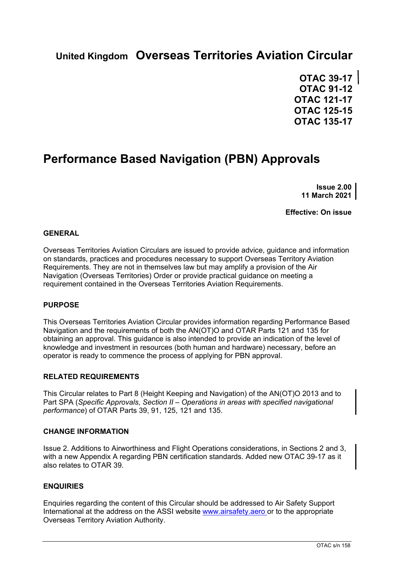# **United Kingdom Overseas Territories Aviation Circular**

**OTAC 39-17 OTAC 91-12 OTAC 121-17 OTAC 125-15 OTAC 135-17**

# **Performance Based Navigation (PBN) Approvals**

**Issue 2.00 11 March 2021**

**Effective: On issue**

#### **GENERAL**

Overseas Territories Aviation Circulars are issued to provide advice, guidance and information on standards, practices and procedures necessary to support Overseas Territory Aviation Requirements. They are not in themselves law but may amplify a provision of the Air Navigation (Overseas Territories) Order or provide practical guidance on meeting a requirement contained in the Overseas Territories Aviation Requirements.

#### **PURPOSE**

This Overseas Territories Aviation Circular provides information regarding Performance Based Navigation and the requirements of both the AN(OT)O and OTAR Parts 121 and 135 for obtaining an approval. This guidance is also intended to provide an indication of the level of knowledge and investment in resources (both human and hardware) necessary, before an operator is ready to commence the process of applying for PBN approval.

#### **RELATED REQUIREMENTS**

This Circular relates to Part 8 (Height Keeping and Navigation) of the AN(OT)O 2013 and to Part SPA (*Specific Approvals, Section II – Operations in areas with specified navigational performance*) of OTAR Parts 39, 91, 125, 121 and 135.

#### **CHANGE INFORMATION**

Issue 2. Additions to Airworthiness and Flight Operations considerations, in Sections 2 and 3, with a new Appendix A regarding PBN certification standards. Added new OTAC 39-17 as it also relates to OTAR 39.

#### **ENQUIRIES**

Enquiries regarding the content of this Circular should be addressed to Air Safety Support International at the address on the ASSI website www.airsafety.aero or to the appropriate Overseas Territory Aviation Authority.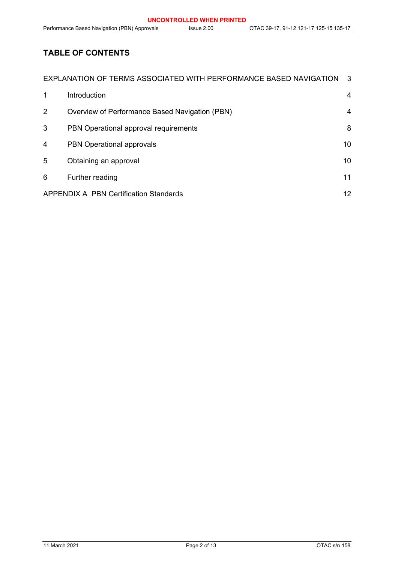# **TABLE OF CONTENTS**

| EXPLANATION OF TERMS ASSOCIATED WITH PERFORMANCE BASED NAVIGATION<br>-3 |                                                |    |
|-------------------------------------------------------------------------|------------------------------------------------|----|
| 1                                                                       | Introduction                                   | 4  |
| 2                                                                       | Overview of Performance Based Navigation (PBN) | 4  |
| 3                                                                       | PBN Operational approval requirements          | 8  |
| 4                                                                       | PBN Operational approvals                      | 10 |
| 5                                                                       | Obtaining an approval                          | 10 |
| 6                                                                       | Further reading                                | 11 |
| <b>APPENDIX A PBN Certification Standards</b><br>12                     |                                                |    |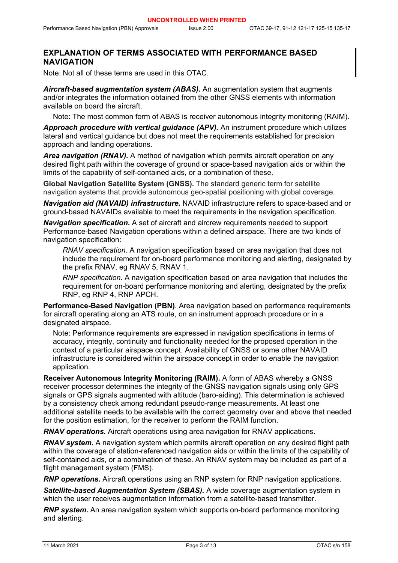### <span id="page-2-0"></span>**EXPLANATION OF TERMS ASSOCIATED WITH PERFORMANCE BASED NAVIGATION**

Note: Not all of these terms are used in this OTAC.

*Aircraft-based augmentation system (ABAS).* An augmentation system that augments and/or integrates the information obtained from the other GNSS elements with information available on board the aircraft.

Note: The most common form of ABAS is receiver autonomous integrity monitoring (RAIM).

*Approach procedure with vertical guidance (APV).* An instrument procedure which utilizes lateral and vertical guidance but does not meet the requirements established for precision approach and landing operations.

*Area navigation (RNAV).* A method of navigation which permits aircraft operation on any desired flight path within the coverage of ground or space-based navigation aids or within the limits of the capability of self-contained aids, or a combination of these.

**Global Navigation Satellite System (GNSS).** The standard generic term for satellite navigation systems that provide autonomous geo-spatial positioning with global coverage.

*Navigation aid (NAVAID) infrastructure.* NAVAID infrastructure refers to space-based and or ground-based NAVAIDs available to meet the requirements in the navigation specification.

*Navigation specification***.** A set of aircraft and aircrew requirements needed to support Performance-based Navigation operations within a defined airspace. There are two kinds of navigation specification:

*RNAV specification.* A navigation specification based on area navigation that does not include the requirement for on-board performance monitoring and alerting, designated by the prefix RNAV, eg RNAV 5, RNAV 1.

*RNP specification.* A navigation specification based on area navigation that includes the requirement for on-board performance monitoring and alerting, designated by the prefix RNP, eg RNP 4, RNP APCH.

**Performance-Based Navigation (PBN)**. Area navigation based on performance requirements for aircraft operating along an ATS route, on an instrument approach procedure or in a designated airspace.

Note: Performance requirements are expressed in navigation specifications in terms of accuracy, integrity, continuity and functionality needed for the proposed operation in the context of a particular airspace concept. Availability of GNSS or some other NAVAID infrastructure is considered within the airspace concept in order to enable the navigation application.

**Receiver Autonomous Integrity Monitoring (RAIM).** A form of ABAS whereby a GNSS receiver processor determines the integrity of the GNSS navigation signals using only GPS signals or GPS signals augmented with altitude (baro-aiding). This determination is achieved by a consistency check among redundant pseudo-range measurements. At least one additional satellite needs to be available with the correct geometry over and above that needed for the position estimation, for the receiver to perform the RAIM function.

*RNAV operations***.** Aircraft operations using area navigation for RNAV applications.

*RNAV system.* A navigation system which permits aircraft operation on any desired flight path within the coverage of station-referenced navigation aids or within the limits of the capability of self-contained aids, or a combination of these. An RNAV system may be included as part of a flight management system (FMS).

*RNP operations.* Aircraft operations using an RNP system for RNP navigation applications.

*Satellite-based Augmentation System (SBAS).* A wide coverage augmentation system in which the user receives augmentation information from a satellite-based transmitter.

*RNP system.* An area navigation system which supports on-board performance monitoring and alerting.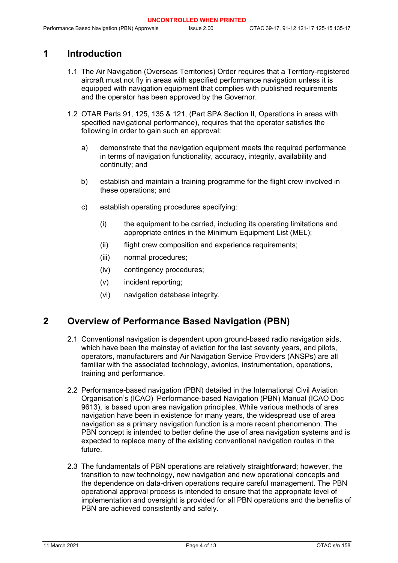## <span id="page-3-0"></span>**1 Introduction**

- 1.1 The Air Navigation (Overseas Territories) Order requires that a Territory-registered aircraft must not fly in areas with specified performance navigation unless it is equipped with navigation equipment that complies with published requirements and the operator has been approved by the Governor.
- 1.2 OTAR Parts 91, 125, 135 & 121, (Part SPA Section II, Operations in areas with specified navigational performance), requires that the operator satisfies the following in order to gain such an approval:
	- a) demonstrate that the navigation equipment meets the required performance in terms of navigation functionality, accuracy, integrity, availability and continuity; and
	- b) establish and maintain a training programme for the flight crew involved in these operations; and
	- c) establish operating procedures specifying:
		- (i) the equipment to be carried, including its operating limitations and appropriate entries in the Minimum Equipment List (MEL);
		- (ii) flight crew composition and experience requirements;
		- (iii) normal procedures;
		- (iv) contingency procedures;
		- (v) incident reporting;
		- (vi) navigation database integrity.

### <span id="page-3-1"></span>**2 Overview of Performance Based Navigation (PBN)**

- 2.1 Conventional navigation is dependent upon ground-based radio navigation aids, which have been the mainstay of aviation for the last seventy years, and pilots, operators, manufacturers and Air Navigation Service Providers (ANSPs) are all familiar with the associated technology, avionics, instrumentation, operations, training and performance.
- 2.2 Performance-based navigation (PBN) detailed in the International Civil Aviation Organisation's (ICAO) 'Performance-based Navigation (PBN) Manual (ICAO Doc 9613), is based upon area navigation principles. While various methods of area navigation have been in existence for many years, the widespread use of area navigation as a primary navigation function is a more recent phenomenon. The PBN concept is intended to better define the use of area navigation systems and is expected to replace many of the existing conventional navigation routes in the future.
- 2.3 The fundamentals of PBN operations are relatively straightforward; however, the transition to new technology, new navigation and new operational concepts and the dependence on data-driven operations require careful management. The PBN operational approval process is intended to ensure that the appropriate level of implementation and oversight is provided for all PBN operations and the benefits of PBN are achieved consistently and safely.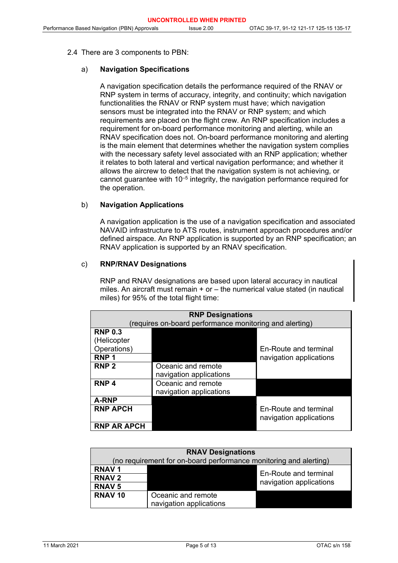#### 2.4 There are 3 components to PBN:

#### a) **Navigation Specifications**

A navigation specification details the performance required of the RNAV or RNP system in terms of accuracy, integrity, and continuity; which navigation functionalities the RNAV or RNP system must have; which navigation sensors must be integrated into the RNAV or RNP system; and which requirements are placed on the flight crew. An RNP specification includes a requirement for on-board performance monitoring and alerting, while an RNAV specification does not. On-board performance monitoring and alerting is the main element that determines whether the navigation system complies with the necessary safety level associated with an RNP application; whether it relates to both lateral and vertical navigation performance; and whether it allows the aircrew to detect that the navigation system is not achieving, or cannot quarantee with  $10^{-5}$  integrity, the navigation performance required for the operation.

#### b) **Navigation Applications**

A navigation application is the use of a navigation specification and associated NAVAID infrastructure to ATS routes, instrument approach procedures and/or defined airspace. An RNP application is supported by an RNP specification; an RNAV application is supported by an RNAV specification.

#### c) **RNP/RNAV Designations**

RNP and RNAV designations are based upon lateral accuracy in nautical miles. An aircraft must remain + or – the numerical value stated (in nautical miles) for 95% of the total flight time:

| <b>RNP Designations</b><br>(requires on-board performance monitoring and alerting) |                                               |                                                         |  |
|------------------------------------------------------------------------------------|-----------------------------------------------|---------------------------------------------------------|--|
| <b>RNP 0.3</b><br>(Helicopter<br>Operations)<br>RNP <sub>1</sub>                   |                                               | En-Route and terminal<br>navigation applications        |  |
| RNP <sub>2</sub>                                                                   | Oceanic and remote<br>navigation applications |                                                         |  |
| RNP <sub>4</sub>                                                                   | Oceanic and remote<br>navigation applications |                                                         |  |
| <b>A-RNP</b>                                                                       |                                               |                                                         |  |
| <b>RNP APCH</b>                                                                    |                                               | <b>Fn-Route and terminal</b><br>navigation applications |  |
| <b>RNP AR APCH</b>                                                                 |                                               |                                                         |  |

| <b>RNAV Designations</b>                                          |                         |                         |  |
|-------------------------------------------------------------------|-------------------------|-------------------------|--|
| (no requirement for on-board performance monitoring and alerting) |                         |                         |  |
| <b>RNAV1</b>                                                      |                         | En-Route and terminal   |  |
| <b>RNAV2</b>                                                      |                         |                         |  |
| <b>RNAV 5</b>                                                     |                         | navigation applications |  |
| RNAV <sub>10</sub>                                                | Oceanic and remote      |                         |  |
|                                                                   | navigation applications |                         |  |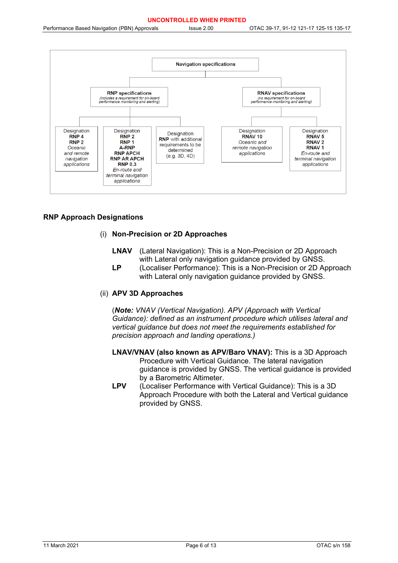

#### **RNP Approach Designations**

#### (i) **Non-Precision or 2D Approaches**

- **LNAV** (Lateral Navigation): This is a Non-Precision or 2D Approach with Lateral only navigation guidance provided by GNSS.
- **LP** (Localiser Performance): This is a Non-Precision or 2D Approach with Lateral only navigation guidance provided by GNSS.

#### (ii) **APV 3D Approaches**

(*Note: VNAV (Vertical Navigation). APV (Approach with Vertical Guidance): defined as an instrument procedure which utilises lateral and vertical guidance but does not meet the requirements established for precision approach and landing operations.)*

- **LNAV/VNAV (also known as APV/Baro VNAV):** This is a 3D Approach Procedure with Vertical Guidance. The lateral navigation guidance is provided by GNSS. The vertical guidance is provided by a Barometric Altimeter.
- **LPV** (Localiser Performance with Vertical Guidance): This is a 3D Approach Procedure with both the Lateral and Vertical guidance provided by GNSS.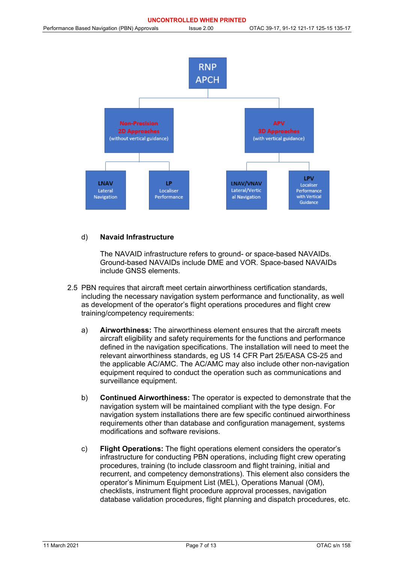

#### d) **Navaid Infrastructure**

The NAVAID infrastructure refers to ground- or space-based NAVAIDs. Ground-based NAVAIDs include DME and VOR. Space-based NAVAIDs include GNSS elements.

- 2.5 PBN requires that aircraft meet certain airworthiness certification standards, including the necessary navigation system performance and functionality, as well as development of the operator's flight operations procedures and flight crew training/competency requirements:
	- a) **Airworthiness:** The airworthiness element ensures that the aircraft meets aircraft eligibility and safety requirements for the functions and performance defined in the navigation specifications. The installation will need to meet the relevant airworthiness standards, eg US 14 CFR Part 25/EASA CS-25 and the applicable AC/AMC. The AC/AMC may also include other non-navigation equipment required to conduct the operation such as communications and surveillance equipment.
	- b) **Continued Airworthiness:** The operator is expected to demonstrate that the navigation system will be maintained compliant with the type design. For navigation system installations there are few specific continued airworthiness requirements other than database and configuration management, systems modifications and software revisions.
	- c) **Flight Operations:** The flight operations element considers the operator's infrastructure for conducting PBN operations, including flight crew operating procedures, training (to include classroom and flight training, initial and recurrent, and competency demonstrations). This element also considers the operator's Minimum Equipment List (MEL), Operations Manual (OM), checklists, instrument flight procedure approval processes, navigation database validation procedures, flight planning and dispatch procedures, etc.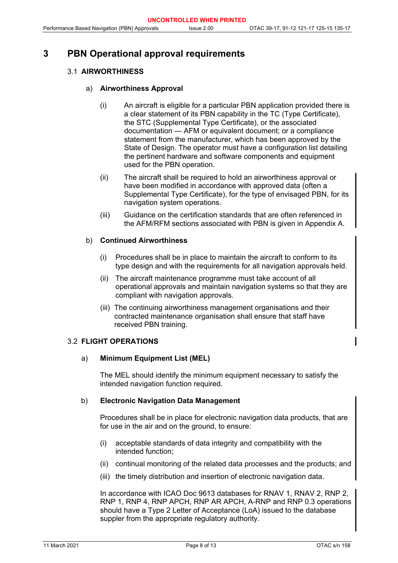## <span id="page-7-0"></span>**3 PBN Operational approval requirements**

#### 3.1 **AIRWORTHINESS**

#### a) **Airworthiness Approval**

- (i) An aircraft is eligible for a particular PBN application provided there is a clear statement of its PBN capability in the TC (Type Certificate), the STC (Supplemental Type Certificate), or the associated documentation — AFM or equivalent document; or a compliance statement from the manufacturer, which has been approved by the State of Design. The operator must have a configuration list detailing the pertinent hardware and software components and equipment used for the PBN operation.
- (ii) The aircraft shall be required to hold an airworthiness approval or have been modified in accordance with approved data (often a Supplemental Type Certificate), for the type of envisaged PBN, for its navigation system operations.
- (iii) Guidance on the certification standards that are often referenced in the AFM/RFM sections associated with PBN is given in Appendix A.

#### b) **Continued Airworthiness**

- (i) Procedures shall be in place to maintain the aircraft to conform to its type design and with the requirements for all navigation approvals held.
- (ii) The aircraft maintenance programme must take account of all operational approvals and maintain navigation systems so that they are compliant with navigation approvals.
- (iii) The continuing airworthiness management organisations and their contracted maintenance organisation shall ensure that staff have received PBN training.

#### 3.2 **FLIGHT OPERATIONS**

#### a) **Minimum Equipment List (MEL)**

The MEL should identify the minimum equipment necessary to satisfy the intended navigation function required.

#### b) **Electronic Navigation Data Management**

Procedures shall be in place for electronic navigation data products, that are for use in the air and on the ground, to ensure:

- (i) acceptable standards of data integrity and compatibility with the intended function;
- (ii) continual monitoring of the related data processes and the products; and
- (iii) the timely distribution and insertion of electronic navigation data.

In accordance with ICAO Doc 9613 databases for RNAV 1, RNAV 2, RNP 2, RNP 1, RNP 4, RNP APCH, RNP AR APCH, A-RNP and RNP 0.3 operations should have a Type 2 Letter of Acceptance (LoA) issued to the database suppler from the appropriate regulatory authority.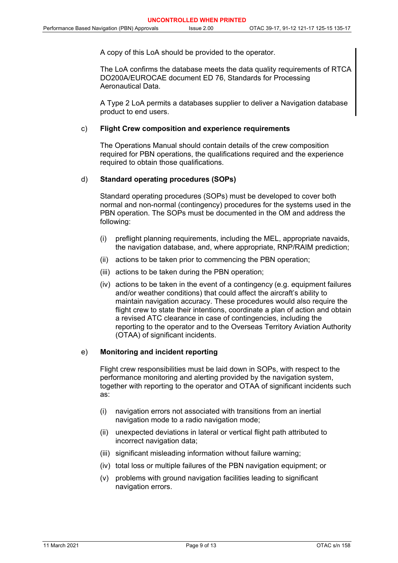A copy of this LoA should be provided to the operator.

The LoA confirms the database meets the data quality requirements of RTCA DO200A/EUROCAE document ED 76, Standards for Processing Aeronautical Data.

A Type 2 LoA permits a databases supplier to deliver a Navigation database product to end users.

#### c) **Flight Crew composition and experience requirements**

The Operations Manual should contain details of the crew composition required for PBN operations, the qualifications required and the experience required to obtain those qualifications.

#### d) **Standard operating procedures (SOPs)**

Standard operating procedures (SOPs) must be developed to cover both normal and non-normal (contingency) procedures for the systems used in the PBN operation. The SOPs must be documented in the OM and address the following:

- (i) preflight planning requirements, including the MEL, appropriate navaids, the navigation database, and, where appropriate, RNP/RAIM prediction;
- (ii) actions to be taken prior to commencing the PBN operation;
- (iii) actions to be taken during the PBN operation;
- (iv) actions to be taken in the event of a contingency (e.g. equipment failures and/or weather conditions) that could affect the aircraft's ability to maintain navigation accuracy. These procedures would also require the flight crew to state their intentions, coordinate a plan of action and obtain a revised ATC clearance in case of contingencies, including the reporting to the operator and to the Overseas Territory Aviation Authority (OTAA) of significant incidents.

#### e) **Monitoring and incident reporting**

Flight crew responsibilities must be laid down in SOPs, with respect to the performance monitoring and alerting provided by the navigation system, together with reporting to the operator and OTAA of significant incidents such as:

- (i) navigation errors not associated with transitions from an inertial navigation mode to a radio navigation mode;
- (ii) unexpected deviations in lateral or vertical flight path attributed to incorrect navigation data;
- (iii) significant misleading information without failure warning;
- (iv) total loss or multiple failures of the PBN navigation equipment; or
- (v) problems with ground navigation facilities leading to significant navigation errors.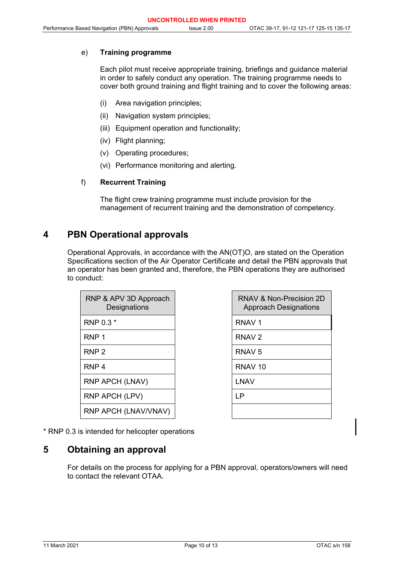#### e) **Training programme**

Each pilot must receive appropriate training, briefings and guidance material in order to safely conduct any operation. The training programme needs to cover both ground training and flight training and to cover the following areas:

- (i) Area navigation principles;
- (ii) Navigation system principles;
- (iii) Equipment operation and functionality;
- (iv) Flight planning;
- (v) Operating procedures;
- (vi) Performance monitoring and alerting.

#### f) **Recurrent Training**

The flight crew training programme must include provision for the management of recurrent training and the demonstration of competency.

### <span id="page-9-0"></span>**4 PBN Operational approvals**

Operational Approvals, in accordance with the AN(OT)O, are stated on the Operation Specifications section of the Air Operator Certificate and detail the PBN approvals that an operator has been granted and, therefore, the PBN operations they are authorised to conduct:

| RNP & APV 3D Approach<br>Designations | RNAV &<br>Approa   |
|---------------------------------------|--------------------|
| RNP 0.3 *                             | RNAV <sub>1</sub>  |
| RNP <sub>1</sub>                      | RNAV <sub>2</sub>  |
| RNP <sub>2</sub>                      | RNAV <sub>5</sub>  |
| RNP <sub>4</sub>                      | RNAV <sub>10</sub> |
| RNP APCH (LNAV)                       | <b>LNAV</b>        |
| RNP APCH (LPV)                        | ΙP                 |
| RNP APCH (LNAV/VNAV)                  |                    |

| RNAV & Non-Precision 2D<br><b>Approach Designations</b> |
|---------------------------------------------------------|
| RNAV 1                                                  |
| RNAV 2                                                  |
| RNAV 5                                                  |
| RNAV 10                                                 |
| I NAV                                                   |
| ΙP                                                      |
|                                                         |

\* RNP 0.3 is intended for helicopter operations

### <span id="page-9-1"></span>**5 Obtaining an approval**

For details on the process for applying for a PBN approval, operators/owners will need to contact the relevant OTAA.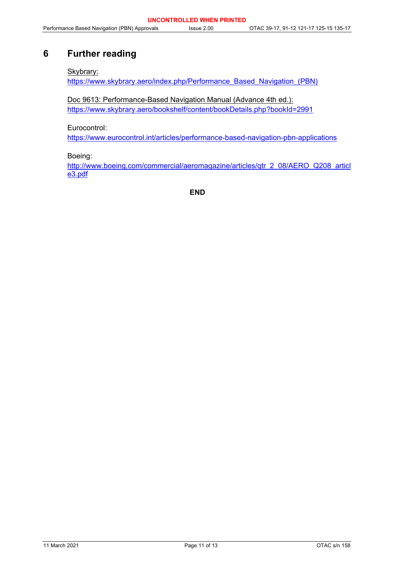# <span id="page-10-0"></span>**6 Further reading**

#### Skybrary:

[https://www.skybrary.aero/index.php/Performance\\_Based\\_Navigation\\_\(PBN\)](https://www.skybrary.aero/index.php/Performance_Based_Navigation_(PBN))

Doc 9613: Performance-Based Navigation Manual (Advance 4th ed.): <https://www.skybrary.aero/bookshelf/content/bookDetails.php?bookId=2991>

Eurocontrol:

<https://www.eurocontrol.int/articles/performance-based-navigation-pbn-applications>

Boeing:

[http://www.boeing.com/commercial/aeromagazine/articles/qtr\\_2\\_08/AERO\\_Q208\\_articl](http://www.boeing.com/commercial/aeromagazine/articles/qtr_2_08/AERO_Q208_article3.pdf) [e3.pdf](http://www.boeing.com/commercial/aeromagazine/articles/qtr_2_08/AERO_Q208_article3.pdf)

**END**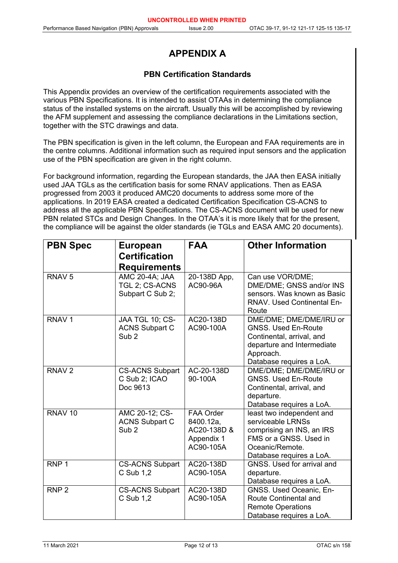# **APPENDIX A**

### **PBN Certification Standards**

<span id="page-11-0"></span>This Appendix provides an overview of the certification requirements associated with the various PBN Specifications. It is intended to assist OTAAs in determining the compliance status of the installed systems on the aircraft. Usually this will be accomplished by reviewing the AFM supplement and assessing the compliance declarations in the Limitations section, together with the STC drawings and data.

The PBN specification is given in the left column, the European and FAA requirements are in the centre columns. Additional information such as required input sensors and the application use of the PBN specification are given in the right column.

For background information, regarding the European standards, the JAA then EASA initially used JAA TGLs as the certification basis for some RNAV applications. Then as EASA progressed from 2003 it produced AMC20 documents to address some more of the applications. In 2019 EASA created a dedicated Certification Specification CS-ACNS to address all the applicable PBN Specifications. The CS-ACNS document will be used for new PBN related STCs and Design Changes. In the OTAA's it is more likely that for the present, the compliance will be against the older standards (ie TGLs and EASA AMC 20 documents).

| <b>PBN Spec</b>    | <b>European</b>                                              | <b>FAA</b>                                                              | <b>Other Information</b>                                                                                                                                  |
|--------------------|--------------------------------------------------------------|-------------------------------------------------------------------------|-----------------------------------------------------------------------------------------------------------------------------------------------------------|
|                    | <b>Certification</b><br><b>Requirements</b>                  |                                                                         |                                                                                                                                                           |
| RNAV <sub>5</sub>  | AMC 20-4A; JAA<br>TGL 2; CS-ACNS<br>Subpart C Sub 2;         | 20-138D App,<br>AC90-96A                                                | Can use VOR/DME;<br>DME/DME; GNSS and/or INS<br>sensors. Was known as Basic<br><b>RNAV. Used Continental En-</b><br>Route                                 |
| RNAV <sub>1</sub>  | JAA TGL 10; CS-<br><b>ACNS Subpart C</b><br>Sub <sub>2</sub> | AC20-138D<br>AC90-100A                                                  | DME/DME; DME/DME/IRU or<br><b>GNSS. Used En-Route</b><br>Continental, arrival, and<br>departure and Intermediate<br>Approach.<br>Database requires a LoA. |
| RNAV <sub>2</sub>  | <b>CS-ACNS Subpart</b><br>C Sub 2; ICAO<br>Doc 9613          | AC-20-138D<br>90-100A                                                   | DME/DME; DME/DME/IRU or<br><b>GNSS. Used En-Route</b><br>Continental, arrival, and<br>departure.<br>Database requires a LoA.                              |
| RNAV <sub>10</sub> | AMC 20-12; CS-<br><b>ACNS Subpart C</b><br>Sub <sub>2</sub>  | <b>FAA Order</b><br>8400.12a,<br>AC20-138D &<br>Appendix 1<br>AC90-105A | least two independent and<br>serviceable LRNSs<br>comprising an INS, an IRS<br>FMS or a GNSS, Used in<br>Oceanic/Remote.<br>Database requires a LoA.      |
| RNP <sub>1</sub>   | <b>CS-ACNS Subpart</b><br>C Sub 1,2                          | AC20-138D<br>AC90-105A                                                  | GNSS. Used for arrival and<br>departure.<br>Database requires a LoA.                                                                                      |
| RNP <sub>2</sub>   | <b>CS-ACNS Subpart</b><br>C Sub 1,2                          | AC20-138D<br>AC90-105A                                                  | GNSS. Used Oceanic, En-<br><b>Route Continental and</b><br><b>Remote Operations</b><br>Database requires a LoA.                                           |